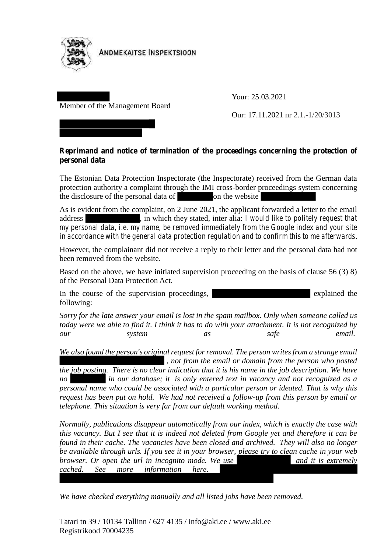

**ANDMEKAITSE INSPEKTSIOON** 

## Member of the Management Board

Your: 25.03.2021

Our: 17.11.2021 nr 2.1.-1/20/3013

## **Reprimand and notice of termination of the proceedings concerning the protection of personal data**

The Estonian Data Protection Inspectorate (the Inspectorate) received from the German data protection authority a complaint through the IMI cross-border proceedings system concerning the disclosure of the personal data of on the website

As is evident from the complaint, on 2 June 2021, the applicant forwarded a letter to the email address , in which they stated, inter alia: *I would like to politely request that my personal data, i.e. my name, be removed immediately from the Google index and your site in accordance with the general data protection regulation and to confirm this to me afterwards*.

However, the complainant did not receive a reply to their letter and the personal data had not been removed from the website.

Based on the above, we have initiated supervision proceeding on the basis of clause 56 (3) 8) of the Personal Data Protection Act.

In the course of the supervision proceedings, explained the explained the following:

*Sorry for the late answer your email is lost in the spam mailbox. Only when someone called us today were we able to find it. I think it has to do with your attachment. It is not recognized by our system as safe email.*

*We also found the person's original request for removal. The person writes from a strange email , not from the email or domain from the person who posted*

*the job posting. There is no clear indication that it is his name in the job description. We have no in our database; it is only entered text in vacancy and not recognized as a personal name who could be associated with a particular person or ideated. That is why this request has been put on hold. We had not received a follow-up from this person by email or telephone. This situation is very far from our default working method.*

*Normally, publications disappear automatically from our index, which is exactly the case with this vacancy. But I see that it is indeed not deleted from Google yet and therefore it can be found in their cache. The vacancies have been closed and archived. They will also no longer be available through urls. If you see it in your browser, please try to clean cache in your web browser. Or open the url in incognito mode. We use* and *it is extremely cached. See more information here.*

*We have checked everything manually and all listed jobs have been removed.*